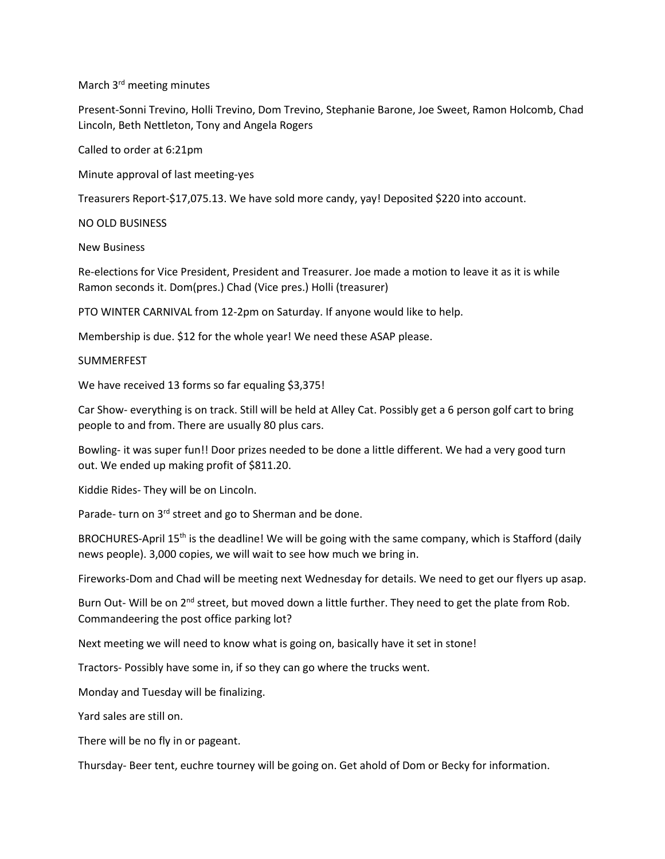March 3rd meeting minutes

Present-Sonni Trevino, Holli Trevino, Dom Trevino, Stephanie Barone, Joe Sweet, Ramon Holcomb, Chad Lincoln, Beth Nettleton, Tony and Angela Rogers

Called to order at 6:21pm

Minute approval of last meeting-yes

Treasurers Report-\$17,075.13. We have sold more candy, yay! Deposited \$220 into account.

NO OLD BUSINESS

New Business

Re-elections for Vice President, President and Treasurer. Joe made a motion to leave it as it is while Ramon seconds it. Dom(pres.) Chad (Vice pres.) Holli (treasurer)

PTO WINTER CARNIVAL from 12-2pm on Saturday. If anyone would like to help.

Membership is due. \$12 for the whole year! We need these ASAP please.

SUMMERFEST

We have received 13 forms so far equaling \$3,375!

Car Show- everything is on track. Still will be held at Alley Cat. Possibly get a 6 person golf cart to bring people to and from. There are usually 80 plus cars.

Bowling- it was super fun!! Door prizes needed to be done a little different. We had a very good turn out. We ended up making profit of \$811.20.

Kiddie Rides- They will be on Lincoln.

Parade- turn on 3<sup>rd</sup> street and go to Sherman and be done.

BROCHURES-April 15<sup>th</sup> is the deadline! We will be going with the same company, which is Stafford (daily news people). 3,000 copies, we will wait to see how much we bring in.

Fireworks-Dom and Chad will be meeting next Wednesday for details. We need to get our flyers up asap.

Burn Out- Will be on 2<sup>nd</sup> street, but moved down a little further. They need to get the plate from Rob. Commandeering the post office parking lot?

Next meeting we will need to know what is going on, basically have it set in stone!

Tractors- Possibly have some in, if so they can go where the trucks went.

Monday and Tuesday will be finalizing.

Yard sales are still on.

There will be no fly in or pageant.

Thursday- Beer tent, euchre tourney will be going on. Get ahold of Dom or Becky for information.